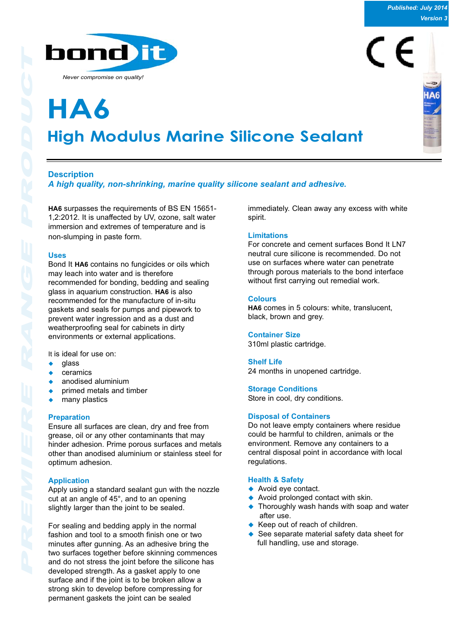

**High Modulus Marine Silicone Sealant HA6**

# **Description**

*A high quality, non-shrinking, marine quality silicone sealant and adhesive.*

**HA6** surpasses the requirements of BS EN 15651- 1,2:2012. It is unaffected by UV, ozone, salt water immersion and extremes of temperature and is non-slumping in paste form.

## **Uses**

Bond It **HA6** contains no fungicides or oils which may leach into water and is therefore recommended for bonding, bedding and sealing glass in aquarium construction. **HA6** is also recommended for the manufacture of in-situ gaskets and seals for pumps and pipework to prevent water ingression and as a dust and weatherproofing seal for cabinets in dirty environments or external applications.

It is ideal for use on:

- glass
- ceramics
- anodised aluminium
- primed metals and timber
- many plastics

## **Preparation**

Ensure all surfaces are clean, dry and free from grease, oil or any other contaminants that may hinder adhesion. Prime porous surfaces and metals other than anodised aluminium or stainless steel for optimum adhesion.

## **Application**

Apply using a standard sealant gun with the nozzle cut at an angle of 45°, and to an opening slightly larger than the joint to be sealed.

For sealing and bedding apply in the normal fashion and tool to a smooth finish one or two minutes after gunning. As an adhesive bring the two surfaces together before skinning commences and do not stress the joint before the silicone has developed strength. As a gasket apply to one surface and if the joint is to be broken allow a strong skin to develop before compressing for permanent gaskets the joint can be sealed

immediately. Clean away any excess with white spirit.

### **Limitations**

For concrete and cement surfaces Bond It LN7 neutral cure silicone is recommended. Do not use on surfaces where water can penetrate through porous materials to the bond interface without first carrying out remedial work.

#### **Colours**

**HA6** comes in 5 colours: white, translucent, black, brown and grey.

#### **Container Size**

310ml plastic cartridge.

#### **Shelf Life**

24 months in unopened cartridge.

**Storage Conditions** Store in cool, dry conditions.

## **Disposal of Containers**

Do not leave empty containers where residue could be harmful to children, animals or the environment. Remove any containers to a central disposal point in accordance with local regulations.

#### **Health & Safety**

- $\blacklozenge$  Avoid eye contact.
- Avoid prolonged contact with skin.
- $\triangle$  Thoroughly wash hands with soap and water after use.
- $\triangle$  Keep out of reach of children.
- See separate material safety data sheet for full handling, use and storage.

*Published: July 2014 Version 3*